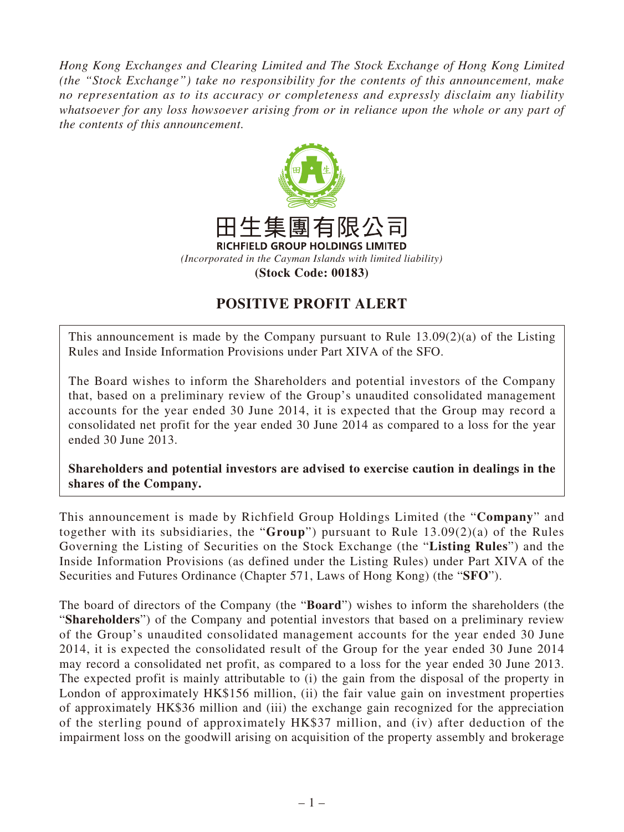*Hong Kong Exchanges and Clearing Limited and The Stock Exchange of Hong Kong Limited (the "Stock Exchange") take no responsibility for the contents of this announcement, make no representation as to its accuracy or completeness and expressly disclaim any liability whatsoever for any loss howsoever arising from or in reliance upon the whole or any part of the contents of this announcement.*



## **POSITIVE PROFIT ALERT**

This announcement is made by the Company pursuant to Rule 13.09(2)(a) of the Listing Rules and Inside Information Provisions under Part XIVA of the SFO.

The Board wishes to inform the Shareholders and potential investors of the Company that, based on a preliminary review of the Group's unaudited consolidated management accounts for the year ended 30 June 2014, it is expected that the Group may record a consolidated net profit for the year ended 30 June 2014 as compared to a loss for the year ended 30 June 2013.

**Shareholders and potential investors are advised to exercise caution in dealings in the shares of the Company.**

This announcement is made by Richfield Group Holdings Limited (the "**Company**" and together with its subsidiaries, the "**Group**") pursuant to Rule 13.09(2)(a) of the Rules Governing the Listing of Securities on the Stock Exchange (the "**Listing Rules**") and the Inside Information Provisions (as defined under the Listing Rules) under Part XIVA of the Securities and Futures Ordinance (Chapter 571, Laws of Hong Kong) (the "**SFO**").

The board of directors of the Company (the "**Board**") wishes to inform the shareholders (the "**Shareholders**") of the Company and potential investors that based on a preliminary review of the Group's unaudited consolidated management accounts for the year ended 30 June 2014, it is expected the consolidated result of the Group for the year ended 30 June 2014 may record a consolidated net profit, as compared to a loss for the year ended 30 June 2013. The expected profit is mainly attributable to (i) the gain from the disposal of the property in London of approximately HK\$156 million, (ii) the fair value gain on investment properties of approximately HK\$36 million and (iii) the exchange gain recognized for the appreciation of the sterling pound of approximately HK\$37 million, and (iv) after deduction of the impairment loss on the goodwill arising on acquisition of the property assembly and brokerage